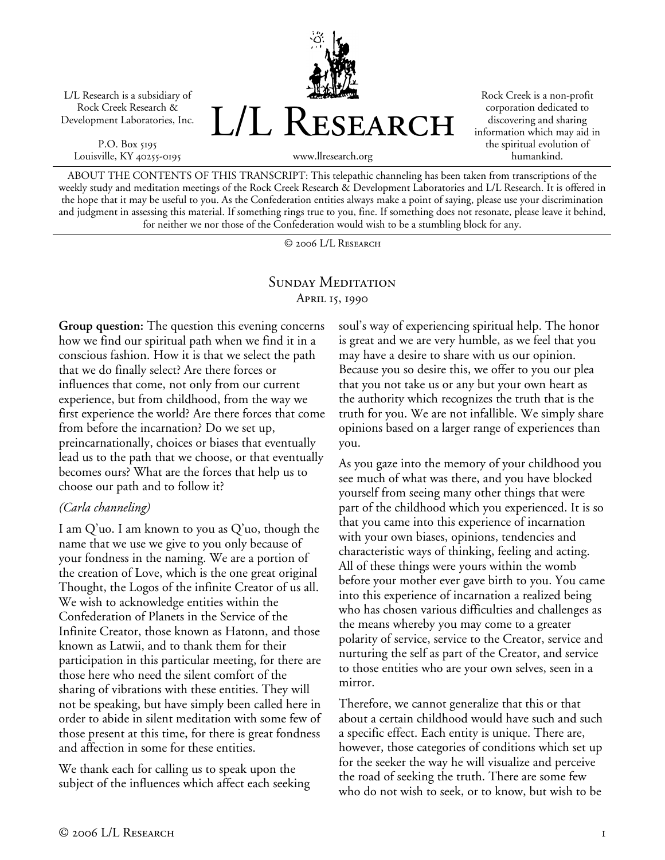L/L Research is a subsidiary of Rock Creek Research & Development Laboratories, Inc.

P.O. Box 5195 Louisville, KY 40255-0195



Rock Creek is a non-profit corporation dedicated to discovering and sharing information which may aid in the spiritual evolution of humankind.

www.llresearch.org

ABOUT THE CONTENTS OF THIS TRANSCRIPT: This telepathic channeling has been taken from transcriptions of the weekly study and meditation meetings of the Rock Creek Research & Development Laboratories and L/L Research. It is offered in the hope that it may be useful to you. As the Confederation entities always make a point of saying, please use your discrimination and judgment in assessing this material. If something rings true to you, fine. If something does not resonate, please leave it behind, for neither we nor those of the Confederation would wish to be a stumbling block for any.

© 2006 L/L Research

## SUNDAY MEDITATION April 15, 1990

**Group question:** The question this evening concerns how we find our spiritual path when we find it in a conscious fashion. How it is that we select the path that we do finally select? Are there forces or influences that come, not only from our current experience, but from childhood, from the way we first experience the world? Are there forces that come from before the incarnation? Do we set up, preincarnationally, choices or biases that eventually lead us to the path that we choose, or that eventually becomes ours? What are the forces that help us to choose our path and to follow it?

### *(Carla channeling)*

I am Q'uo. I am known to you as Q'uo, though the name that we use we give to you only because of your fondness in the naming. We are a portion of the creation of Love, which is the one great original Thought, the Logos of the infinite Creator of us all. We wish to acknowledge entities within the Confederation of Planets in the Service of the Infinite Creator, those known as Hatonn, and those known as Latwii, and to thank them for their participation in this particular meeting, for there are those here who need the silent comfort of the sharing of vibrations with these entities. They will not be speaking, but have simply been called here in order to abide in silent meditation with some few of those present at this time, for there is great fondness and affection in some for these entities.

We thank each for calling us to speak upon the subject of the influences which affect each seeking

soul's way of experiencing spiritual help. The honor is great and we are very humble, as we feel that you may have a desire to share with us our opinion. Because you so desire this, we offer to you our plea that you not take us or any but your own heart as the authority which recognizes the truth that is the truth for you. We are not infallible. We simply share opinions based on a larger range of experiences than you.

As you gaze into the memory of your childhood you see much of what was there, and you have blocked yourself from seeing many other things that were part of the childhood which you experienced. It is so that you came into this experience of incarnation with your own biases, opinions, tendencies and characteristic ways of thinking, feeling and acting. All of these things were yours within the womb before your mother ever gave birth to you. You came into this experience of incarnation a realized being who has chosen various difficulties and challenges as the means whereby you may come to a greater polarity of service, service to the Creator, service and nurturing the self as part of the Creator, and service to those entities who are your own selves, seen in a mirror.

Therefore, we cannot generalize that this or that about a certain childhood would have such and such a specific effect. Each entity is unique. There are, however, those categories of conditions which set up for the seeker the way he will visualize and perceive the road of seeking the truth. There are some few who do not wish to seek, or to know, but wish to be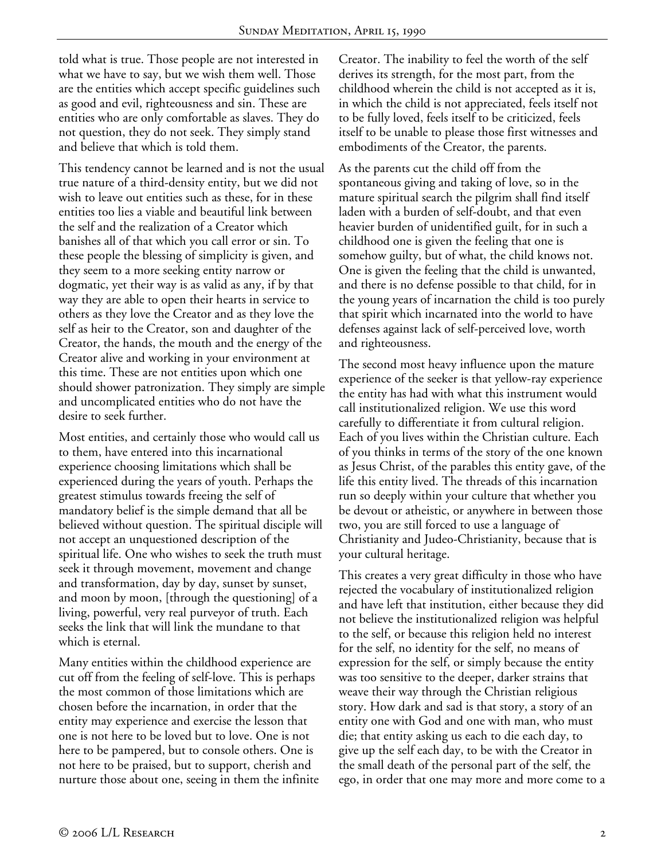told what is true. Those people are not interested in what we have to say, but we wish them well. Those are the entities which accept specific guidelines such as good and evil, righteousness and sin. These are entities who are only comfortable as slaves. They do not question, they do not seek. They simply stand and believe that which is told them.

This tendency cannot be learned and is not the usual true nature of a third-density entity, but we did not wish to leave out entities such as these, for in these entities too lies a viable and beautiful link between the self and the realization of a Creator which banishes all of that which you call error or sin. To these people the blessing of simplicity is given, and they seem to a more seeking entity narrow or dogmatic, yet their way is as valid as any, if by that way they are able to open their hearts in service to others as they love the Creator and as they love the self as heir to the Creator, son and daughter of the Creator, the hands, the mouth and the energy of the Creator alive and working in your environment at this time. These are not entities upon which one should shower patronization. They simply are simple and uncomplicated entities who do not have the desire to seek further.

Most entities, and certainly those who would call us to them, have entered into this incarnational experience choosing limitations which shall be experienced during the years of youth. Perhaps the greatest stimulus towards freeing the self of mandatory belief is the simple demand that all be believed without question. The spiritual disciple will not accept an unquestioned description of the spiritual life. One who wishes to seek the truth must seek it through movement, movement and change and transformation, day by day, sunset by sunset, and moon by moon, [through the questioning] of a living, powerful, very real purveyor of truth. Each seeks the link that will link the mundane to that which is eternal.

Many entities within the childhood experience are cut off from the feeling of self-love. This is perhaps the most common of those limitations which are chosen before the incarnation, in order that the entity may experience and exercise the lesson that one is not here to be loved but to love. One is not here to be pampered, but to console others. One is not here to be praised, but to support, cherish and nurture those about one, seeing in them the infinite Creator. The inability to feel the worth of the self derives its strength, for the most part, from the childhood wherein the child is not accepted as it is, in which the child is not appreciated, feels itself not to be fully loved, feels itself to be criticized, feels itself to be unable to please those first witnesses and embodiments of the Creator, the parents.

As the parents cut the child off from the spontaneous giving and taking of love, so in the mature spiritual search the pilgrim shall find itself laden with a burden of self-doubt, and that even heavier burden of unidentified guilt, for in such a childhood one is given the feeling that one is somehow guilty, but of what, the child knows not. One is given the feeling that the child is unwanted, and there is no defense possible to that child, for in the young years of incarnation the child is too purely that spirit which incarnated into the world to have defenses against lack of self-perceived love, worth and righteousness.

The second most heavy influence upon the mature experience of the seeker is that yellow-ray experience the entity has had with what this instrument would call institutionalized religion. We use this word carefully to differentiate it from cultural religion. Each of you lives within the Christian culture. Each of you thinks in terms of the story of the one known as Jesus Christ, of the parables this entity gave, of the life this entity lived. The threads of this incarnation run so deeply within your culture that whether you be devout or atheistic, or anywhere in between those two, you are still forced to use a language of Christianity and Judeo-Christianity, because that is your cultural heritage.

This creates a very great difficulty in those who have rejected the vocabulary of institutionalized religion and have left that institution, either because they did not believe the institutionalized religion was helpful to the self, or because this religion held no interest for the self, no identity for the self, no means of expression for the self, or simply because the entity was too sensitive to the deeper, darker strains that weave their way through the Christian religious story. How dark and sad is that story, a story of an entity one with God and one with man, who must die; that entity asking us each to die each day, to give up the self each day, to be with the Creator in the small death of the personal part of the self, the ego, in order that one may more and more come to a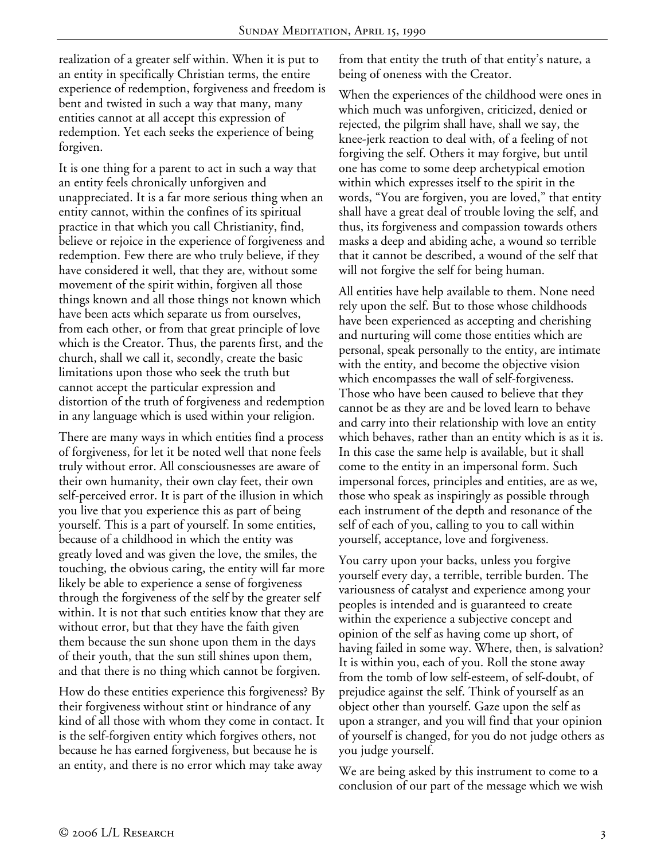realization of a greater self within. When it is put to an entity in specifically Christian terms, the entire experience of redemption, forgiveness and freedom is bent and twisted in such a way that many, many entities cannot at all accept this expression of redemption. Yet each seeks the experience of being forgiven.

It is one thing for a parent to act in such a way that an entity feels chronically unforgiven and unappreciated. It is a far more serious thing when an entity cannot, within the confines of its spiritual practice in that which you call Christianity, find, believe or rejoice in the experience of forgiveness and redemption. Few there are who truly believe, if they have considered it well, that they are, without some movement of the spirit within, forgiven all those things known and all those things not known which have been acts which separate us from ourselves, from each other, or from that great principle of love which is the Creator. Thus, the parents first, and the church, shall we call it, secondly, create the basic limitations upon those who seek the truth but cannot accept the particular expression and distortion of the truth of forgiveness and redemption in any language which is used within your religion.

There are many ways in which entities find a process of forgiveness, for let it be noted well that none feels truly without error. All consciousnesses are aware of their own humanity, their own clay feet, their own self-perceived error. It is part of the illusion in which you live that you experience this as part of being yourself. This is a part of yourself. In some entities, because of a childhood in which the entity was greatly loved and was given the love, the smiles, the touching, the obvious caring, the entity will far more likely be able to experience a sense of forgiveness through the forgiveness of the self by the greater self within. It is not that such entities know that they are without error, but that they have the faith given them because the sun shone upon them in the days of their youth, that the sun still shines upon them, and that there is no thing which cannot be forgiven.

How do these entities experience this forgiveness? By their forgiveness without stint or hindrance of any kind of all those with whom they come in contact. It is the self-forgiven entity which forgives others, not because he has earned forgiveness, but because he is an entity, and there is no error which may take away

from that entity the truth of that entity's nature, a being of oneness with the Creator.

When the experiences of the childhood were ones in which much was unforgiven, criticized, denied or rejected, the pilgrim shall have, shall we say, the knee-jerk reaction to deal with, of a feeling of not forgiving the self. Others it may forgive, but until one has come to some deep archetypical emotion within which expresses itself to the spirit in the words, "You are forgiven, you are loved," that entity shall have a great deal of trouble loving the self, and thus, its forgiveness and compassion towards others masks a deep and abiding ache, a wound so terrible that it cannot be described, a wound of the self that will not forgive the self for being human.

All entities have help available to them. None need rely upon the self. But to those whose childhoods have been experienced as accepting and cherishing and nurturing will come those entities which are personal, speak personally to the entity, are intimate with the entity, and become the objective vision which encompasses the wall of self-forgiveness. Those who have been caused to believe that they cannot be as they are and be loved learn to behave and carry into their relationship with love an entity which behaves, rather than an entity which is as it is. In this case the same help is available, but it shall come to the entity in an impersonal form. Such impersonal forces, principles and entities, are as we, those who speak as inspiringly as possible through each instrument of the depth and resonance of the self of each of you, calling to you to call within yourself, acceptance, love and forgiveness.

You carry upon your backs, unless you forgive yourself every day, a terrible, terrible burden. The variousness of catalyst and experience among your peoples is intended and is guaranteed to create within the experience a subjective concept and opinion of the self as having come up short, of having failed in some way. Where, then, is salvation? It is within you, each of you. Roll the stone away from the tomb of low self-esteem, of self-doubt, of prejudice against the self. Think of yourself as an object other than yourself. Gaze upon the self as upon a stranger, and you will find that your opinion of yourself is changed, for you do not judge others as you judge yourself.

We are being asked by this instrument to come to a conclusion of our part of the message which we wish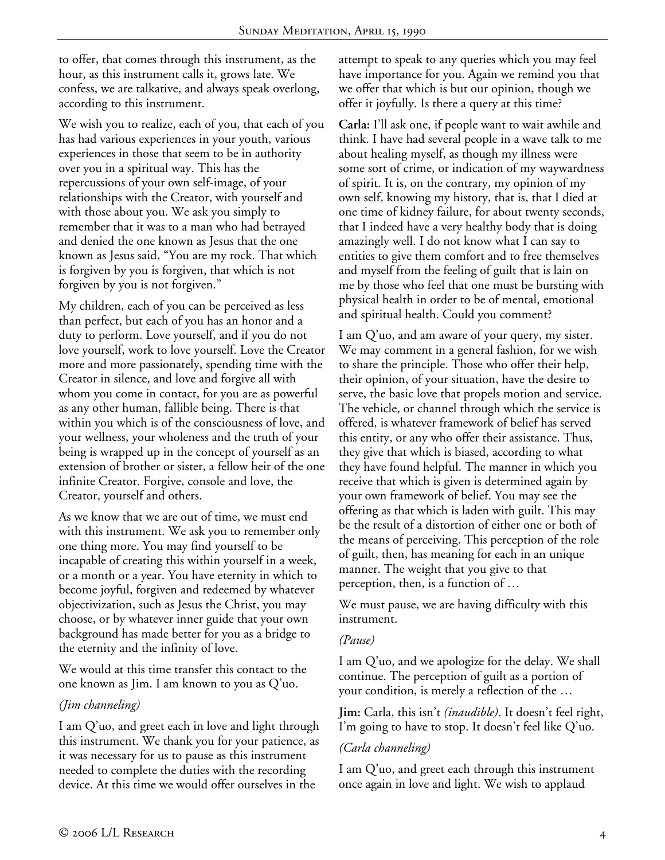to offer, that comes through this instrument, as the hour, as this instrument calls it, grows late. We confess, we are talkative, and always speak overlong, according to this instrument.

We wish you to realize, each of you, that each of you has had various experiences in your youth, various experiences in those that seem to be in authority over you in a spiritual way. This has the repercussions of your own self-image, of your relationships with the Creator, with yourself and with those about you. We ask you simply to remember that it was to a man who had betrayed and denied the one known as Jesus that the one known as Jesus said, "You are my rock. That which is forgiven by you is forgiven, that which is not forgiven by you is not forgiven."

My children, each of you can be perceived as less than perfect, but each of you has an honor and a duty to perform. Love yourself, and if you do not love yourself, work to love yourself. Love the Creator more and more passionately, spending time with the Creator in silence, and love and forgive all with whom you come in contact, for you are as powerful as any other human, fallible being. There is that within you which is of the consciousness of love, and your wellness, your wholeness and the truth of your being is wrapped up in the concept of yourself as an extension of brother or sister, a fellow heir of the one infinite Creator. Forgive, console and love, the Creator, yourself and others.

As we know that we are out of time, we must end with this instrument. We ask you to remember only one thing more. You may find yourself to be incapable of creating this within yourself in a week, or a month or a year. You have eternity in which to become joyful, forgiven and redeemed by whatever objectivization, such as Jesus the Christ, you may choose, or by whatever inner guide that your own background has made better for you as a bridge to the eternity and the infinity of love.

We would at this time transfer this contact to the one known as Jim. I am known to you as Q'uo.

# *(Jim channeling)*

I am Q'uo, and greet each in love and light through this instrument. We thank you for your patience, as it was necessary for us to pause as this instrument needed to complete the duties with the recording device. At this time we would offer ourselves in the

attempt to speak to any queries which you may feel have importance for you. Again we remind you that we offer that which is but our opinion, though we offer it joyfully. Is there a query at this time?

**Carla:** I'll ask one, if people want to wait awhile and think. I have had several people in a wave talk to me about healing myself, as though my illness were some sort of crime, or indication of my waywardness of spirit. It is, on the contrary, my opinion of my own self, knowing my history, that is, that I died at one time of kidney failure, for about twenty seconds, that I indeed have a very healthy body that is doing amazingly well. I do not know what I can say to entities to give them comfort and to free themselves and myself from the feeling of guilt that is lain on me by those who feel that one must be bursting with physical health in order to be of mental, emotional and spiritual health. Could you comment?

I am Q'uo, and am aware of your query, my sister. We may comment in a general fashion, for we wish to share the principle. Those who offer their help, their opinion, of your situation, have the desire to serve, the basic love that propels motion and service. The vehicle, or channel through which the service is offered, is whatever framework of belief has served this entity, or any who offer their assistance. Thus, they give that which is biased, according to what they have found helpful. The manner in which you receive that which is given is determined again by your own framework of belief. You may see the offering as that which is laden with guilt. This may be the result of a distortion of either one or both of the means of perceiving. This perception of the role of guilt, then, has meaning for each in an unique manner. The weight that you give to that perception, then, is a function of …

We must pause, we are having difficulty with this instrument.

### *(Pause)*

I am Q'uo, and we apologize for the delay. We shall continue. The perception of guilt as a portion of your condition, is merely a reflection of the …

**Jim:** Carla, this isn't *(inaudible)*. It doesn't feel right, I'm going to have to stop. It doesn't feel like Q'uo.

# *(Carla channeling)*

I am Q'uo, and greet each through this instrument once again in love and light. We wish to applaud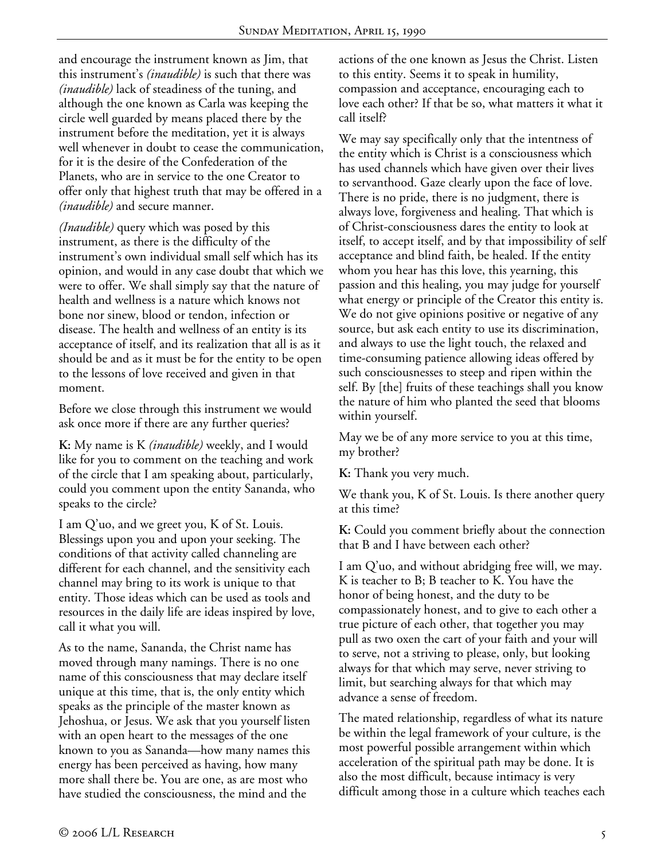and encourage the instrument known as Jim, that this instrument's *(inaudible)* is such that there was *(inaudible)* lack of steadiness of the tuning, and although the one known as Carla was keeping the circle well guarded by means placed there by the instrument before the meditation, yet it is always well whenever in doubt to cease the communication, for it is the desire of the Confederation of the Planets, who are in service to the one Creator to offer only that highest truth that may be offered in a *(inaudible)* and secure manner.

*(Inaudible)* query which was posed by this instrument, as there is the difficulty of the instrument's own individual small self which has its opinion, and would in any case doubt that which we were to offer. We shall simply say that the nature of health and wellness is a nature which knows not bone nor sinew, blood or tendon, infection or disease. The health and wellness of an entity is its acceptance of itself, and its realization that all is as it should be and as it must be for the entity to be open to the lessons of love received and given in that moment.

Before we close through this instrument we would ask once more if there are any further queries?

**K:** My name is K *(inaudible)* weekly, and I would like for you to comment on the teaching and work of the circle that I am speaking about, particularly, could you comment upon the entity Sananda, who speaks to the circle?

I am Q'uo, and we greet you, K of St. Louis. Blessings upon you and upon your seeking. The conditions of that activity called channeling are different for each channel, and the sensitivity each channel may bring to its work is unique to that entity. Those ideas which can be used as tools and resources in the daily life are ideas inspired by love, call it what you will.

As to the name, Sananda, the Christ name has moved through many namings. There is no one name of this consciousness that may declare itself unique at this time, that is, the only entity which speaks as the principle of the master known as Jehoshua, or Jesus. We ask that you yourself listen with an open heart to the messages of the one known to you as Sananda—how many names this energy has been perceived as having, how many more shall there be. You are one, as are most who have studied the consciousness, the mind and the

actions of the one known as Jesus the Christ. Listen to this entity. Seems it to speak in humility, compassion and acceptance, encouraging each to love each other? If that be so, what matters it what it call itself?

We may say specifically only that the intentness of the entity which is Christ is a consciousness which has used channels which have given over their lives to servanthood. Gaze clearly upon the face of love. There is no pride, there is no judgment, there is always love, forgiveness and healing. That which is of Christ-consciousness dares the entity to look at itself, to accept itself, and by that impossibility of self acceptance and blind faith, be healed. If the entity whom you hear has this love, this yearning, this passion and this healing, you may judge for yourself what energy or principle of the Creator this entity is. We do not give opinions positive or negative of any source, but ask each entity to use its discrimination, and always to use the light touch, the relaxed and time-consuming patience allowing ideas offered by such consciousnesses to steep and ripen within the self. By [the] fruits of these teachings shall you know the nature of him who planted the seed that blooms within yourself.

May we be of any more service to you at this time, my brother?

**K:** Thank you very much.

We thank you, K of St. Louis. Is there another query at this time?

**K:** Could you comment briefly about the connection that B and I have between each other?

I am Q'uo, and without abridging free will, we may. K is teacher to B; B teacher to K. You have the honor of being honest, and the duty to be compassionately honest, and to give to each other a true picture of each other, that together you may pull as two oxen the cart of your faith and your will to serve, not a striving to please, only, but looking always for that which may serve, never striving to limit, but searching always for that which may advance a sense of freedom.

The mated relationship, regardless of what its nature be within the legal framework of your culture, is the most powerful possible arrangement within which acceleration of the spiritual path may be done. It is also the most difficult, because intimacy is very difficult among those in a culture which teaches each